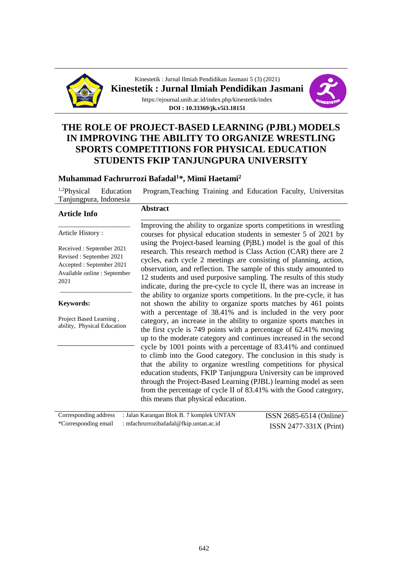

Kinestetik : Jurnal Ilmiah Pendidikan Jasmani 5 (3) (2021) **Kinestetik : Jurnal Ilmiah Pendidikan Jasmani** https://ejournal.unib.ac.id/index.php/kinestetik/index **DOI : 10.33369/jk.v5i3.18151**



## **THE ROLE OF PROJECT-BASED LEARNING (PJBL) MODELS IN IMPROVING THE ABILITY TO ORGANIZE WRESTLING SPORTS COMPETITIONS FOR PHYSICAL EDUCATION STUDENTS FKIP TANJUNGPURA UNIVERSITY**

#### **Muhammad Fachrurrozi Bafadal<sup>1</sup>\*, Mimi Haetami<sup>2</sup>**

1,2Physical Education Program,Teaching Training and Education Faculty, Universitas Tanjungpura, Indonesia

#### **Article Info**

#### **Abstract** \_\_\_\_\_\_\_\_\_\_\_\_\_\_\_\_\_\_\_\_\_\_\_\_\_\_\_\_\_\_\_\_\_\_\_\_\_\_\_\_\_\_\_\_\_\_\_\_\_\_\_\_\_

Article History :

Received : September 2021 Revised : September 2021 Accepted : September 2021 Available online : September 2021

\_\_\_\_\_\_\_\_\_\_\_\_\_\_\_\_\_\_\_\_\_

\_\_\_\_\_\_\_\_\_\_\_\_\_\_\_\_\_\_\_\_\_

**Keywords:**

Project Based Learning , ability, Physical Education

Improving the ability to organize sports competitions in wrestling courses for physical education students in semester 5 of 2021 by using the Project-based learning (PjBL) model is the goal of this research. This research method is Class Action (CAR) there are 2 cycles, each cycle 2 meetings are consisting of planning, action, observation, and reflection. The sample of this study amounted to 12 students and used purposive sampling. The results of this study indicate, during the pre-cycle to cycle II, there was an increase in the ability to organize sports competitions. In the pre-cycle, it has not shown the ability to organize sports matches by 461 points with a percentage of 38.41% and is included in the very poor category, an increase in the ability to organize sports matches in the first cycle is 749 points with a percentage of 62.41% moving up to the moderate category and continues increased in the second cycle by 1001 points with a percentage of 83.41% and continued to climb into the Good category. The conclusion in this study is that the ability to organize wrestling competitions for physical education students, FKIP Tanjungpura University can be improved through the Project-Based Learning (PJBL) learning model as seen from the percentage of cycle II of 83.41% with the Good category, this means that physical education.

| Corresponding address : Jalan Karangan Blok B. 7 komplek UNTAN | ISSN 2685-6514 (Online)  |
|----------------------------------------------------------------|--------------------------|
| *Corresponding email : mfachrurrozibafadal@fkip.untan.ac.id    | $ISSN 2477-331X (Print)$ |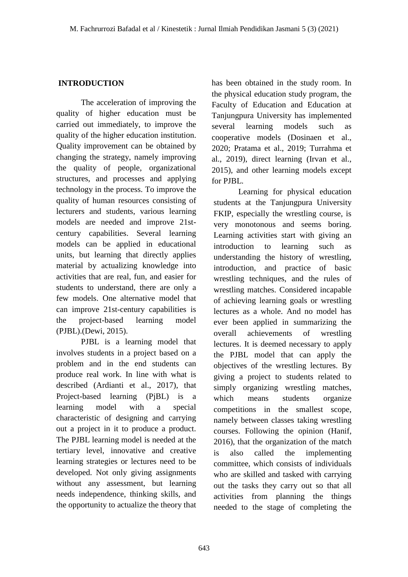### **INTRODUCTION**

The acceleration of improving the quality of higher education must be carried out immediately, to improve the quality of the higher education institution. Quality improvement can be obtained by changing the strategy, namely improving the quality of people, organizational structures, and processes and applying technology in the process. To improve the quality of human resources consisting of lecturers and students, various learning models are needed and improve 21stcentury capabilities. Several learning models can be applied in educational units, but learning that directly applies material by actualizing knowledge into activities that are real, fun, and easier for students to understand, there are only a few models. One alternative model that can improve 21st-century capabilities is the project-based learning model (PJBL).(Dewi, 2015).

PJBL is a learning model that involves students in a project based on a problem and in the end students can produce real work. In line with what is described (Ardianti et al., 2017), that Project-based learning (PjBL) is a learning model with a special characteristic of designing and carrying out a project in it to produce a product. The PJBL learning model is needed at the tertiary level, innovative and creative learning strategies or lectures need to be developed. Not only giving assignments without any assessment, but learning needs independence, thinking skills, and the opportunity to actualize the theory that

has been obtained in the study room. In the physical education study program, the Faculty of Education and Education at Tanjungpura University has implemented several learning models such as cooperative models (Dosinaen et al., 2020; Pratama et al., 2019; Turrahma et al., 2019), direct learning (Irvan et al., 2015), and other learning models except for PJBL.

Learning for physical education students at the Tanjungpura University FKIP, especially the wrestling course, is very monotonous and seems boring. Learning activities start with giving an introduction to learning such as understanding the history of wrestling, introduction, and practice of basic wrestling techniques, and the rules of wrestling matches. Considered incapable of achieving learning goals or wrestling lectures as a whole. And no model has ever been applied in summarizing the overall achievements of wrestling lectures. It is deemed necessary to apply the PJBL model that can apply the objectives of the wrestling lectures. By giving a project to students related to simply organizing wrestling matches, which means students organize competitions in the smallest scope, namely between classes taking wrestling courses. Following the opinion (Hanif, 2016), that the organization of the match is also called the implementing committee, which consists of individuals who are skilled and tasked with carrying out the tasks they carry out so that all activities from planning the things needed to the stage of completing the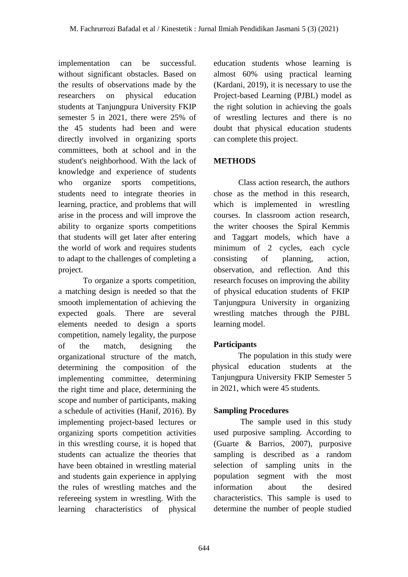implementation can be successful. without significant obstacles. Based on the results of observations made by the researchers on physical education students at Tanjungpura University FKIP semester 5 in 2021, there were 25% of the 45 students had been and were directly involved in organizing sports committees, both at school and in the student's neighborhood. With the lack of knowledge and experience of students who organize sports competitions, students need to integrate theories in learning, practice, and problems that will arise in the process and will improve the ability to organize sports competitions that students will get later after entering the world of work and requires students to adapt to the challenges of completing a project.

To organize a sports competition, a matching design is needed so that the smooth implementation of achieving the expected goals. There are several elements needed to design a sports competition, namely legality, the purpose of the match, designing the organizational structure of the match, determining the composition of the implementing committee, determining the right time and place, determining the scope and number of participants, making a schedule of activities (Hanif, 2016). By implementing project-based lectures or organizing sports competition activities in this wrestling course, it is hoped that students can actualize the theories that have been obtained in wrestling material and students gain experience in applying the rules of wrestling matches and the refereeing system in wrestling. With the learning characteristics of physical

education students whose learning is almost 60% using practical learning (Kardani, 2019), it is necessary to use the Project-based Learning (PJBL) model as the right solution in achieving the goals of wrestling lectures and there is no doubt that physical education students can complete this project.

## **METHODS**

Class action research, the authors chose as the method in this research, which is implemented in wrestling courses. In classroom action research, the writer chooses the Spiral Kemmis and Taggart models, which have a minimum of 2 cycles, each cycle consisting of planning, action, observation, and reflection. And this research focuses on improving the ability of physical education students of FKIP Tanjungpura University in organizing wrestling matches through the PJBL learning model.

# **Participants**

The population in this study were physical education students at the Tanjungpura University FKIP Semester 5 in 2021, which were 45 students.

# **Sampling Procedures**

The sample used in this study used purposive sampling. According to (Guarte & Barrios, 2007), purposive sampling is described as a random selection of sampling units in the population segment with the most information about the desired characteristics. This sample is used to determine the number of people studied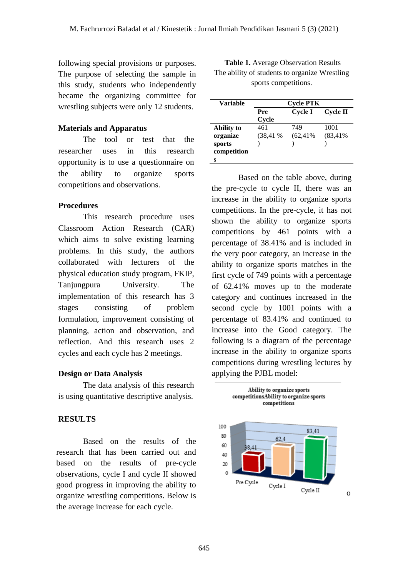**s**

following special provisions or purposes. The purpose of selecting the sample in this study, students who independently became the organizing committee for wrestling subjects were only 12 students.

### **Materials and Apparatus**

The tool or test that the researcher uses in this research opportunity is to use a questionnaire on the ability to organize sports competitions and observations.

### **Procedures**

This research procedure uses Classroom Action Research (CAR) which aims to solve existing learning problems. In this study, the authors collaborated with lecturers of the physical education study program, FKIP, Tanjungpura University. The implementation of this research has 3 stages consisting of problem formulation, improvement consisting of planning, action and observation, and reflection. And this research uses 2 cycles and each cycle has 2 meetings.

### **Design or Data Analysis**

The data analysis of this research is using quantitative descriptive analysis.

### **RESULTS**

Based on the results of the research that has been carried out and based on the results of pre-cycle observations, cycle I and cycle II showed good progress in improving the ability to organize wrestling competitions. Below is the average increase for each cycle.

| sports competitions. |                  |                |             |  |  |  |
|----------------------|------------------|----------------|-------------|--|--|--|
| Variable             | <b>Cycle PTK</b> |                |             |  |  |  |
|                      | Pre              | <b>Cycle I</b> | Cycle II    |  |  |  |
|                      | Cycle            |                |             |  |  |  |
| <b>Ability to</b>    | 461              | 749            | 1001        |  |  |  |
| organize             | $(38, 41\%$      | $(62, 41\%$    | $(83, 41\%$ |  |  |  |
| sports               |                  |                |             |  |  |  |
| competition          |                  |                |             |  |  |  |

**Table 1.** Average Observation Results The ability of students to organize Wrestling

Based on the table above, during the pre-cycle to cycle II, there was an increase in the ability to organize sports competitions. In the pre-cycle, it has not shown the ability to organize sports competitions by 461 points with a percentage of 38.41% and is included in the very poor category, an increase in the ability to organize sports matches in the first cycle of 749 points with a percentage of 62.41% moves up to the moderate category and continues increased in the second cycle by 1001 points with a percentage of 83.41% and continued to increase into the Good category. The following is a diagram of the percentage increase in the ability to organize sports competitions during wrestling lectures by applying the PJBL model:



Ability to organize sports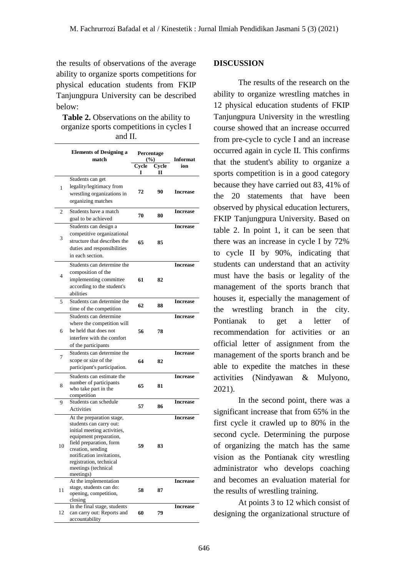the results of observations of the average ability to organize sports competitions for physical education students from FKIP Tanjungpura University can be described below:

**Table 2.** Observations on the ability to organize sports competitions in cycles I and II.

|    | <b>Elements of Designing a</b><br>match                                                                                                                                                                                                                   |            | Percentage<br>$($ %) | Informat        |
|----|-----------------------------------------------------------------------------------------------------------------------------------------------------------------------------------------------------------------------------------------------------------|------------|----------------------|-----------------|
|    |                                                                                                                                                                                                                                                           | Cycle<br>1 | Cycle<br>п           | ion             |
| 1  | Students can get<br>legality/legitimacy from<br>wrestling organizations in<br>organizing matches                                                                                                                                                          | 72         | 90                   | <b>Increase</b> |
| 2  | Students have a match<br>goal to be achieved                                                                                                                                                                                                              | 70         | 80                   | <b>Increase</b> |
| 3  | Students can design a<br>competitive organizational<br>structure that describes the<br>duties and responsibilities<br>in each section.                                                                                                                    | 65         | 85                   | <b>Increase</b> |
| 4  | Students can determine the<br>composition of the<br>implementing committee<br>according to the student's<br>abilities                                                                                                                                     | 61         | 82                   | <b>Increase</b> |
| 5  | Students can determine the<br>time of the competition                                                                                                                                                                                                     | 62         | 88                   | Increase        |
| 6  | Students can determine<br>where the competition will<br>be held that does not<br>interfere with the comfort<br>of the participants                                                                                                                        | 56         | 78                   | <b>Increase</b> |
| 7  | Students can determine the<br>scope or size of the<br>participant's participation.                                                                                                                                                                        | 64         | 82                   | <b>Increase</b> |
| 8  | Students can estimate the<br>number of participants<br>who take part in the<br>competition                                                                                                                                                                | 65         | 81                   | <b>Increase</b> |
| 9  | Students can schedule<br>Activities                                                                                                                                                                                                                       | 57         | 86                   | <b>Increase</b> |
| 10 | At the preparation stage,<br>students can carry out:<br>initial meeting activities,<br>equipment preparation,<br>field preparation, form<br>creation, sending<br>notification invitations,<br>registration, technical<br>meetings (technical<br>meetings) | 59         | 83                   | <b>Increase</b> |
| 11 | At the implementation<br>stage, students can do:<br>opening, competition,<br>closing                                                                                                                                                                      | 58         | 87                   | <b>Increase</b> |
| 12 | In the final stage, students<br>can carry out: Reports and<br>accountability                                                                                                                                                                              | 60         | 79                   | <b>Increase</b> |

### **DISCUSSION**

The results of the research on the ability to organize wrestling matches in 12 physical education students of FKIP Tanjungpura University in the wrestling course showed that an increase occurred from pre-cycle to cycle I and an increase occurred again in cycle II. This confirms that the student's ability to organize a sports competition is in a good category because they have carried out 83, 41% of the 20 statements that have been observed by physical education lecturers, FKIP Tanjungpura University. Based on table 2. In point 1, it can be seen that there was an increase in cycle I by 72% to cycle II by 90%, indicating that students can understand that an activity must have the basis or legality of the management of the sports branch that houses it, especially the management of the wrestling branch in the city. Pontianak to get a letter of recommendation for activities or an official letter of assignment from the management of the sports branch and be able to expedite the matches in these activities (Nindyawan & Mulyono, 2021).

In the second point, there was a significant increase that from 65% in the first cycle it crawled up to 80% in the second cycle. Determining the purpose of organizing the match has the same vision as the Pontianak city wrestling administrator who develops coaching and becomes an evaluation material for the results of wrestling training.

At points 3 to 12 which consist of designing the organizational structure of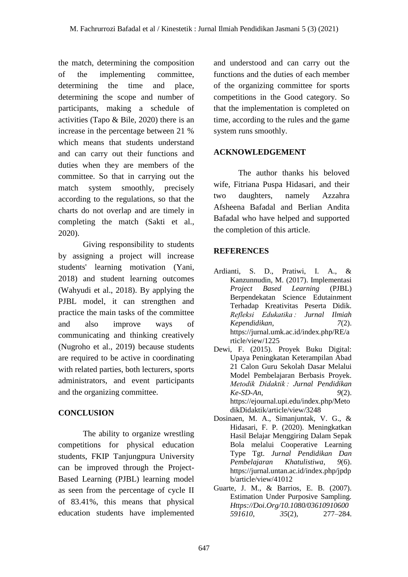the match, determining the composition of the implementing committee, determining the time and place, determining the scope and number of participants, making a schedule of activities (Tapo & Bile, 2020) there is an increase in the percentage between 21 % which means that students understand and can carry out their functions and duties when they are members of the committee. So that in carrying out the match system smoothly, precisely according to the regulations, so that the charts do not overlap and are timely in completing the match (Sakti et al., 2020).

Giving responsibility to students by assigning a project will increase students' learning motivation (Yani, 2018) and student learning outcomes (Wahyudi et al., 2018). By applying the PJBL model, it can strengthen and practice the main tasks of the committee and also improve ways of communicating and thinking creatively (Nugroho et al., 2019) because students are required to be active in coordinating with related parties, both lecturers, sports administrators, and event participants and the organizing committee.

# **CONCLUSION**

The ability to organize wrestling competitions for physical education students, FKIP Tanjungpura University can be improved through the Project-Based Learning (PJBL) learning model as seen from the percentage of cycle II of 83.41%, this means that physical education students have implemented and understood and can carry out the functions and the duties of each member of the organizing committee for sports competitions in the Good category. So that the implementation is completed on time, according to the rules and the game system runs smoothly.

## **ACKNOWLEDGEMENT**

The author thanks his beloved wife, Fitriana Puspa Hidasari, and their two daughters, namely Azzahra Afsheena Bafadal and Berlian Andita Bafadal who have helped and supported the completion of this article.

# **REFERENCES**

- Ardianti, S. D., Pratiwi, I. A., & Kanzunnudin, M. (2017). Implementasi *Project Based Learning* (PJBL) Berpendekatan Science Edutainment Terhadap Kreativitas Peserta Didik. *Refleksi Edukatika : Jurnal Ilmiah Kependidikan*, *7*(2). https://jurnal.umk.ac.id/index.php/RE/a rticle/view/1225
- Dewi, F. (2015). Proyek Buku Digital: Upaya Peningkatan Keterampilan Abad 21 Calon Guru Sekolah Dasar Melalui Model Pembelajaran Berbasis Proyek. *Metodik Didaktik : Jurnal Pendidikan Ke-SD-An*, *9*(2). https://ejournal.upi.edu/index.php/Meto dikDidaktik/article/view/3248
- Dosinaen, M. A., Simanjuntak, V. G., & Hidasari, F. P. (2020). Meningkatkan Hasil Belajar Menggiring Dalam Sepak Bola melalui Cooperative Learning Type Tgt. *Jurnal Pendidikan Dan Pembelajaran Khatulistiwa*, *9*(6). https://jurnal.untan.ac.id/index.php/jpdp b/article/view/41012
- Guarte, J. M., & Barrios, E. B. (2007). Estimation Under Purposive Sampling. *Https://Doi.Org/10.1080/03610910600 591610*, *35*(2), 277–284.